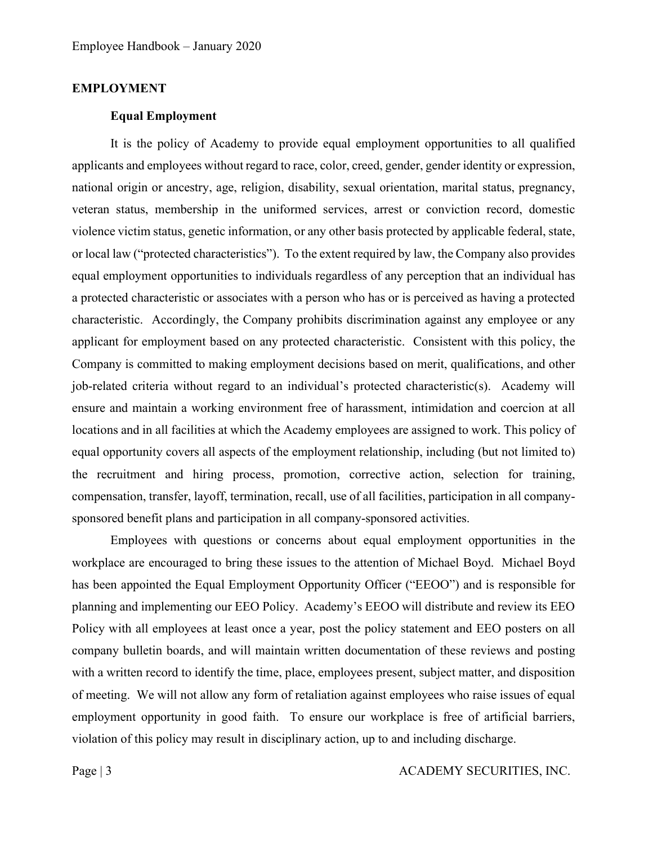### EMPLOYMENT

#### Equal Employment

It is the policy of Academy to provide equal employment opportunities to all qualified applicants and employees without regard to race, color, creed, gender, gender identity or expression, national origin or ancestry, age, religion, disability, sexual orientation, marital status, pregnancy, veteran status, membership in the uniformed services, arrest or conviction record, domestic violence victim status, genetic information, or any other basis protected by applicable federal, state, or local law ("protected characteristics"). To the extent required by law, the Company also provides equal employment opportunities to individuals regardless of any perception that an individual has a protected characteristic or associates with a person who has or is perceived as having a protected characteristic. Accordingly, the Company prohibits discrimination against any employee or any applicant for employment based on any protected characteristic. Consistent with this policy, the Company is committed to making employment decisions based on merit, qualifications, and other job-related criteria without regard to an individual's protected characteristic(s). Academy will ensure and maintain a working environment free of harassment, intimidation and coercion at all locations and in all facilities at which the Academy employees are assigned to work. This policy of equal opportunity covers all aspects of the employment relationship, including (but not limited to) the recruitment and hiring process, promotion, corrective action, selection for training, compensation, transfer, layoff, termination, recall, use of all facilities, participation in all companysponsored benefit plans and participation in all company-sponsored activities.

Employees with questions or concerns about equal employment opportunities in the workplace are encouraged to bring these issues to the attention of Michael Boyd. Michael Boyd has been appointed the Equal Employment Opportunity Officer ("EEOO") and is responsible for planning and implementing our EEO Policy. Academy's EEOO will distribute and review its EEO Policy with all employees at least once a year, post the policy statement and EEO posters on all company bulletin boards, and will maintain written documentation of these reviews and posting with a written record to identify the time, place, employees present, subject matter, and disposition of meeting. We will not allow any form of retaliation against employees who raise issues of equal employment opportunity in good faith. To ensure our workplace is free of artificial barriers, violation of this policy may result in disciplinary action, up to and including discharge.

Page | 3 ACADEMY SECURITIES, INC.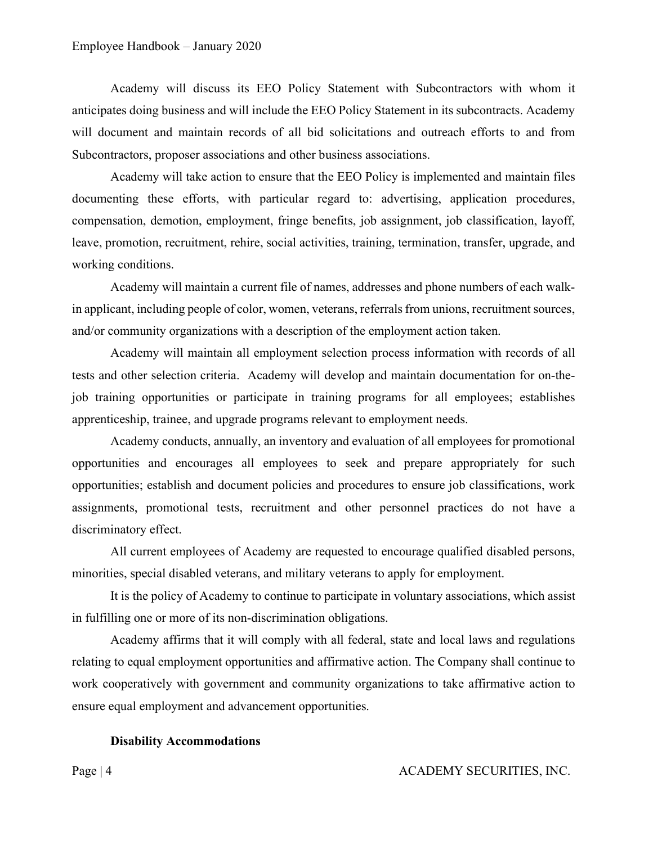Academy will discuss its EEO Policy Statement with Subcontractors with whom it anticipates doing business and will include the EEO Policy Statement in its subcontracts. Academy will document and maintain records of all bid solicitations and outreach efforts to and from Subcontractors, proposer associations and other business associations.

Academy will take action to ensure that the EEO Policy is implemented and maintain files documenting these efforts, with particular regard to: advertising, application procedures, compensation, demotion, employment, fringe benefits, job assignment, job classification, layoff, leave, promotion, recruitment, rehire, social activities, training, termination, transfer, upgrade, and working conditions.

Academy will maintain a current file of names, addresses and phone numbers of each walkin applicant, including people of color, women, veterans, referrals from unions, recruitment sources, and/or community organizations with a description of the employment action taken.

Academy will maintain all employment selection process information with records of all tests and other selection criteria. Academy will develop and maintain documentation for on-thejob training opportunities or participate in training programs for all employees; establishes apprenticeship, trainee, and upgrade programs relevant to employment needs.

Academy conducts, annually, an inventory and evaluation of all employees for promotional opportunities and encourages all employees to seek and prepare appropriately for such opportunities; establish and document policies and procedures to ensure job classifications, work assignments, promotional tests, recruitment and other personnel practices do not have a discriminatory effect.

All current employees of Academy are requested to encourage qualified disabled persons, minorities, special disabled veterans, and military veterans to apply for employment.

It is the policy of Academy to continue to participate in voluntary associations, which assist in fulfilling one or more of its non-discrimination obligations.

Academy affirms that it will comply with all federal, state and local laws and regulations relating to equal employment opportunities and affirmative action. The Company shall continue to work cooperatively with government and community organizations to take affirmative action to ensure equal employment and advancement opportunities.

#### Disability Accommodations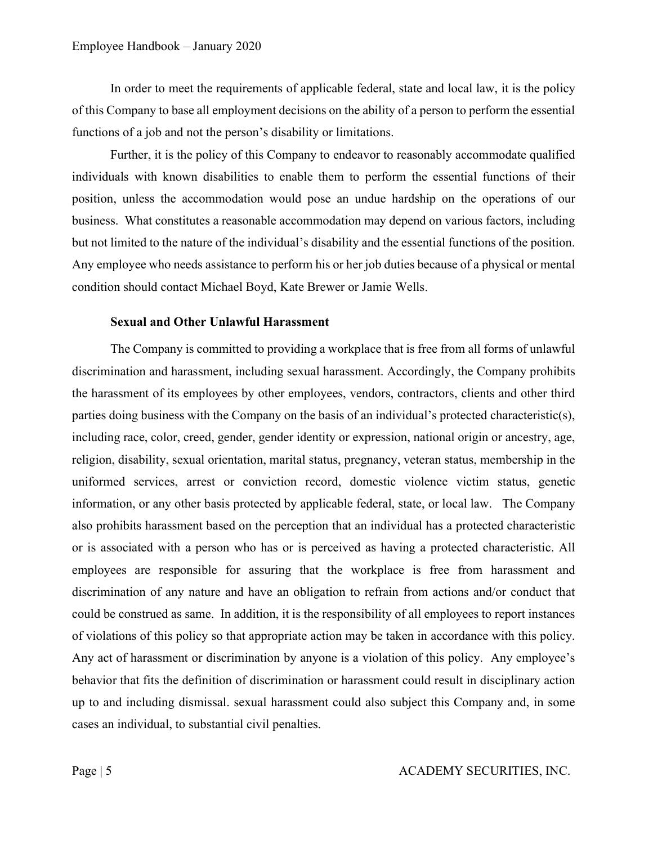In order to meet the requirements of applicable federal, state and local law, it is the policy of this Company to base all employment decisions on the ability of a person to perform the essential functions of a job and not the person's disability or limitations.

Further, it is the policy of this Company to endeavor to reasonably accommodate qualified individuals with known disabilities to enable them to perform the essential functions of their position, unless the accommodation would pose an undue hardship on the operations of our business. What constitutes a reasonable accommodation may depend on various factors, including but not limited to the nature of the individual's disability and the essential functions of the position. Any employee who needs assistance to perform his or her job duties because of a physical or mental condition should contact Michael Boyd, Kate Brewer or Jamie Wells.

## Sexual and Other Unlawful Harassment

The Company is committed to providing a workplace that is free from all forms of unlawful discrimination and harassment, including sexual harassment. Accordingly, the Company prohibits the harassment of its employees by other employees, vendors, contractors, clients and other third parties doing business with the Company on the basis of an individual's protected characteristic(s), including race, color, creed, gender, gender identity or expression, national origin or ancestry, age, religion, disability, sexual orientation, marital status, pregnancy, veteran status, membership in the uniformed services, arrest or conviction record, domestic violence victim status, genetic information, or any other basis protected by applicable federal, state, or local law. The Company also prohibits harassment based on the perception that an individual has a protected characteristic or is associated with a person who has or is perceived as having a protected characteristic. All employees are responsible for assuring that the workplace is free from harassment and discrimination of any nature and have an obligation to refrain from actions and/or conduct that could be construed as same. In addition, it is the responsibility of all employees to report instances of violations of this policy so that appropriate action may be taken in accordance with this policy. Any act of harassment or discrimination by anyone is a violation of this policy. Any employee's behavior that fits the definition of discrimination or harassment could result in disciplinary action up to and including dismissal. sexual harassment could also subject this Company and, in some cases an individual, to substantial civil penalties.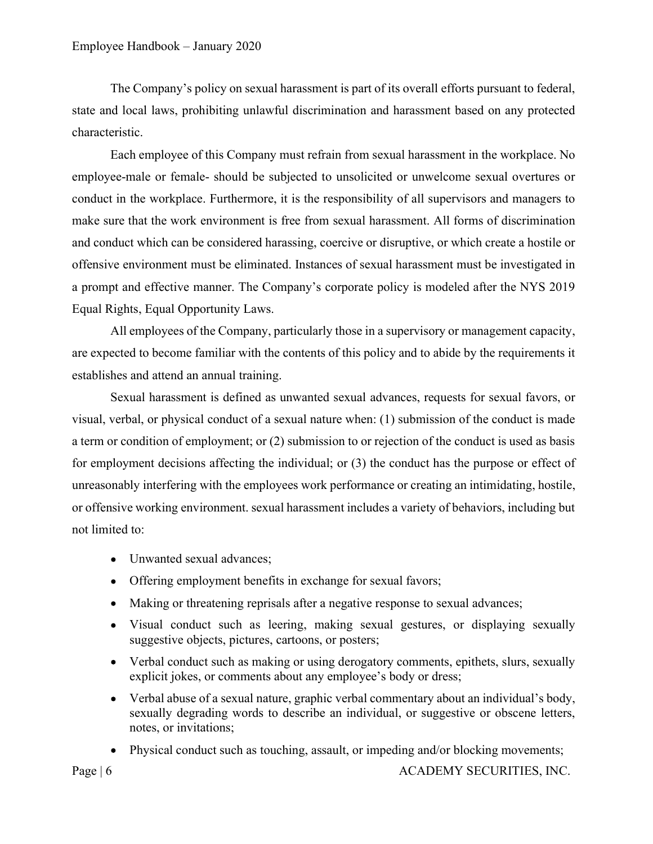The Company's policy on sexual harassment is part of its overall efforts pursuant to federal, state and local laws, prohibiting unlawful discrimination and harassment based on any protected characteristic.

Each employee of this Company must refrain from sexual harassment in the workplace. No employee-male or female- should be subjected to unsolicited or unwelcome sexual overtures or conduct in the workplace. Furthermore, it is the responsibility of all supervisors and managers to make sure that the work environment is free from sexual harassment. All forms of discrimination and conduct which can be considered harassing, coercive or disruptive, or which create a hostile or offensive environment must be eliminated. Instances of sexual harassment must be investigated in a prompt and effective manner. The Company's corporate policy is modeled after the NYS 2019 Equal Rights, Equal Opportunity Laws.

All employees of the Company, particularly those in a supervisory or management capacity, are expected to become familiar with the contents of this policy and to abide by the requirements it establishes and attend an annual training.

Sexual harassment is defined as unwanted sexual advances, requests for sexual favors, or visual, verbal, or physical conduct of a sexual nature when: (1) submission of the conduct is made a term or condition of employment; or (2) submission to or rejection of the conduct is used as basis for employment decisions affecting the individual; or (3) the conduct has the purpose or effect of unreasonably interfering with the employees work performance or creating an intimidating, hostile, or offensive working environment. sexual harassment includes a variety of behaviors, including but not limited to:

- Unwanted sexual advances;
- Offering employment benefits in exchange for sexual favors;
- Making or threatening reprisals after a negative response to sexual advances;  $\bullet$
- Visual conduct such as leering, making sexual gestures, or displaying sexually suggestive objects, pictures, cartoons, or posters;
- Verbal conduct such as making or using derogatory comments, epithets, slurs, sexually explicit jokes, or comments about any employee's body or dress;
- Verbal abuse of a sexual nature, graphic verbal commentary about an individual's body, sexually degrading words to describe an individual, or suggestive or obscene letters, notes, or invitations;
- Physical conduct such as touching, assault, or impeding and/or blocking movements;

Page | 6 ACADEMY SECURITIES, INC.